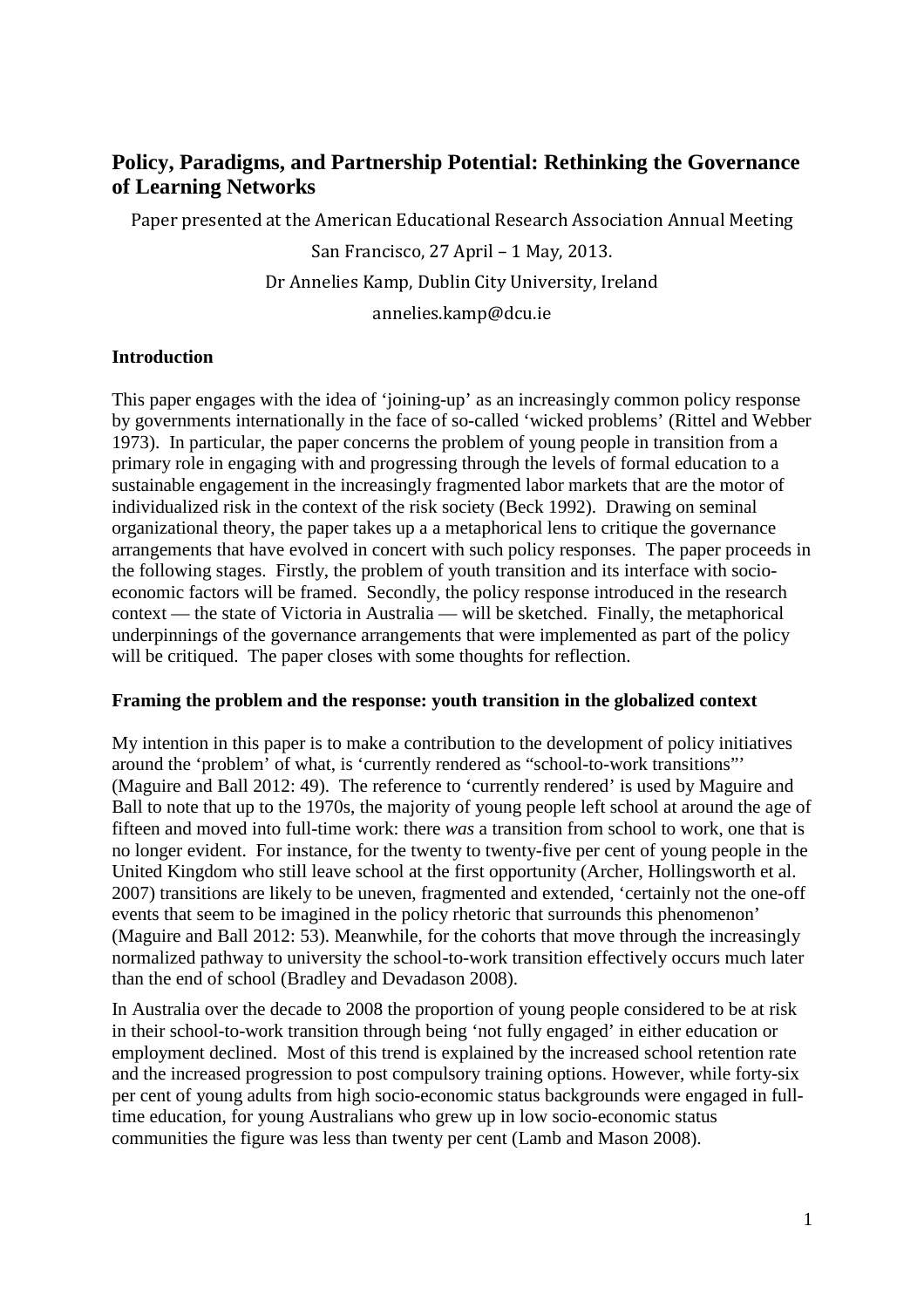# **Policy, Paradigms, and Partnership Potential: Rethinking the Governance of Learning Networks**

Paper presented at the American Educational Research Association Annual Meeting

San Francisco, 27 April – 1 May, 2013. Dr Annelies Kamp, Dublin City University, Ireland annelies.kamp@dcu.ie

# **Introduction**

This paper engages with the idea of 'joining-up' as an increasingly common policy response by governments internationally in the face of so-called 'wicked problems' (Rittel and Webber 1973). In particular, the paper concerns the problem of young people in transition from a primary role in engaging with and progressing through the levels of formal education to a sustainable engagement in the increasingly fragmented labor markets that are the motor of individualized risk in the context of the risk society (Beck 1992). Drawing on seminal organizational theory, the paper takes up a a metaphorical lens to critique the governance arrangements that have evolved in concert with such policy responses. The paper proceeds in the following stages. Firstly, the problem of youth transition and its interface with socioeconomic factors will be framed. Secondly, the policy response introduced in the research context — the state of Victoria in Australia — will be sketched. Finally, the metaphorical underpinnings of the governance arrangements that were implemented as part of the policy will be critiqued. The paper closes with some thoughts for reflection.

## **Framing the problem and the response: youth transition in the globalized context**

My intention in this paper is to make a contribution to the development of policy initiatives around the 'problem' of what, is 'currently rendered as "school-to-work transitions"' (Maguire and Ball 2012: 49). The reference to 'currently rendered' is used by Maguire and Ball to note that up to the 1970s, the majority of young people left school at around the age of fifteen and moved into full-time work: there *was* a transition from school to work, one that is no longer evident. For instance, for the twenty to twenty-five per cent of young people in the United Kingdom who still leave school at the first opportunity (Archer, Hollingsworth et al. 2007) transitions are likely to be uneven, fragmented and extended, 'certainly not the one-off events that seem to be imagined in the policy rhetoric that surrounds this phenomenon' (Maguire and Ball 2012: 53). Meanwhile, for the cohorts that move through the increasingly normalized pathway to university the school-to-work transition effectively occurs much later than the end of school (Bradley and Devadason 2008).

In Australia over the decade to 2008 the proportion of young people considered to be at risk in their school-to-work transition through being 'not fully engaged' in either education or employment declined. Most of this trend is explained by the increased school retention rate and the increased progression to post compulsory training options. However, while forty-six per cent of young adults from high socio-economic status backgrounds were engaged in fulltime education, for young Australians who grew up in low socio-economic status communities the figure was less than twenty per cent (Lamb and Mason 2008).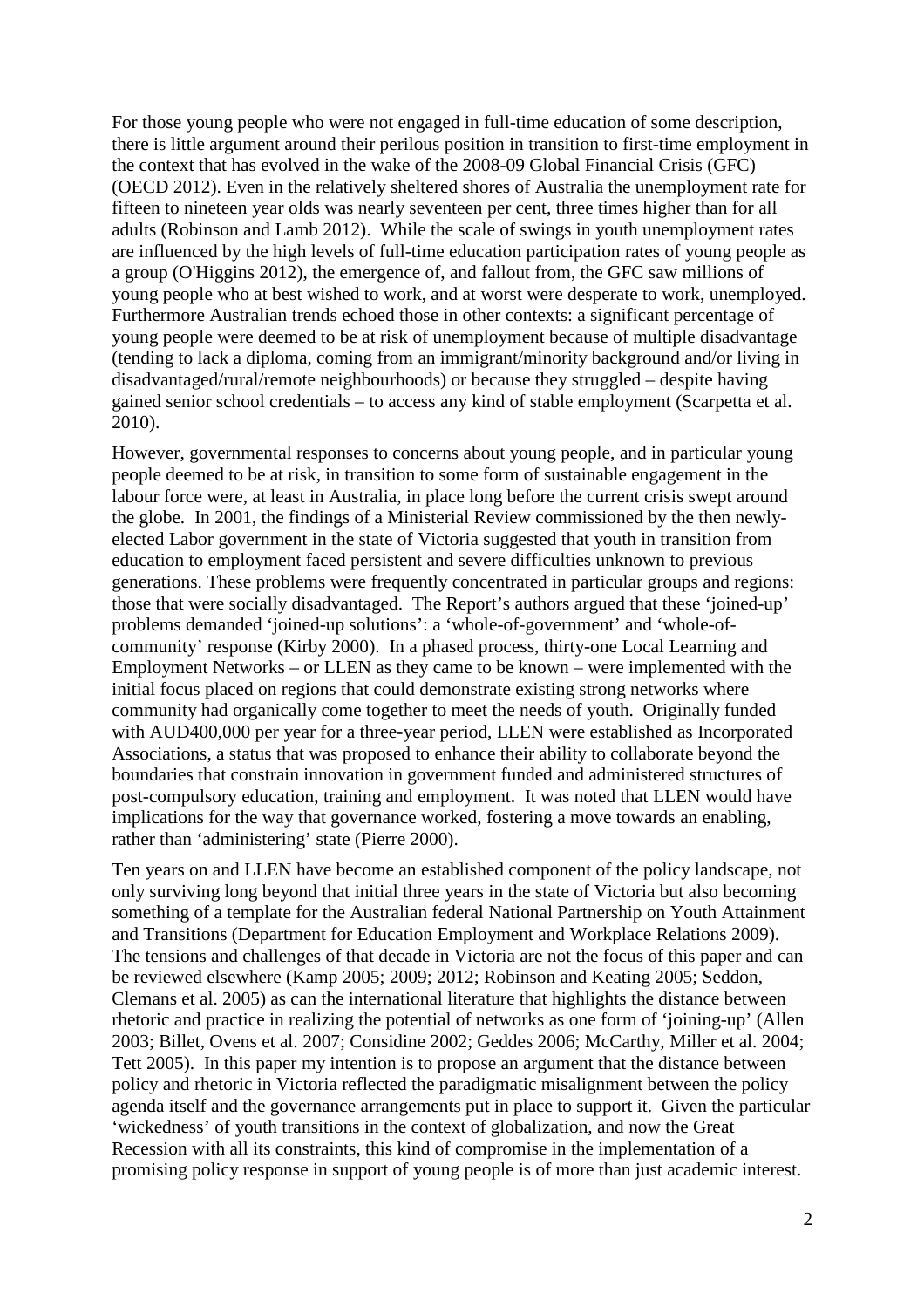For those young people who were not engaged in full-time education of some description, there is little argument around their perilous position in transition to first-time employment in the context that has evolved in the wake of the 2008-09 Global Financial Crisis (GFC) (OECD 2012). Even in the relatively sheltered shores of Australia the unemployment rate for fifteen to nineteen year olds was nearly seventeen per cent, three times higher than for all adults (Robinson and Lamb 2012). While the scale of swings in youth unemployment rates are influenced by the high levels of full-time education participation rates of young people as a group (O'Higgins 2012), the emergence of, and fallout from, the GFC saw millions of young people who at best wished to work, and at worst were desperate to work, unemployed. Furthermore Australian trends echoed those in other contexts: a significant percentage of young people were deemed to be at risk of unemployment because of multiple disadvantage (tending to lack a diploma, coming from an immigrant/minority background and/or living in disadvantaged/rural/remote neighbourhoods) or because they struggled – despite having gained senior school credentials – to access any kind of stable employment (Scarpetta et al. 2010).

However, governmental responses to concerns about young people, and in particular young people deemed to be at risk, in transition to some form of sustainable engagement in the labour force were, at least in Australia, in place long before the current crisis swept around the globe. In 2001, the findings of a Ministerial Review commissioned by the then newlyelected Labor government in the state of Victoria suggested that youth in transition from education to employment faced persistent and severe difficulties unknown to previous generations. These problems were frequently concentrated in particular groups and regions: those that were socially disadvantaged. The Report's authors argued that these 'joined-up' problems demanded 'joined-up solutions': a 'whole-of-government' and 'whole-ofcommunity' response (Kirby 2000). In a phased process, thirty-one Local Learning and Employment Networks – or LLEN as they came to be known – were implemented with the initial focus placed on regions that could demonstrate existing strong networks where community had organically come together to meet the needs of youth. Originally funded with AUD400,000 per year for a three-year period, LLEN were established as Incorporated Associations, a status that was proposed to enhance their ability to collaborate beyond the boundaries that constrain innovation in government funded and administered structures of post-compulsory education, training and employment. It was noted that LLEN would have implications for the way that governance worked, fostering a move towards an enabling, rather than 'administering' state (Pierre 2000).

Ten years on and LLEN have become an established component of the policy landscape, not only surviving long beyond that initial three years in the state of Victoria but also becoming something of a template for the Australian federal National Partnership on Youth Attainment and Transitions (Department for Education Employment and Workplace Relations 2009). The tensions and challenges of that decade in Victoria are not the focus of this paper and can be reviewed elsewhere (Kamp 2005; 2009; 2012; Robinson and Keating 2005; Seddon, Clemans et al. 2005) as can the international literature that highlights the distance between rhetoric and practice in realizing the potential of networks as one form of 'joining-up' (Allen 2003; Billet, Ovens et al. 2007; Considine 2002; Geddes 2006; McCarthy, Miller et al. 2004; Tett 2005). In this paper my intention is to propose an argument that the distance between policy and rhetoric in Victoria reflected the paradigmatic misalignment between the policy agenda itself and the governance arrangements put in place to support it. Given the particular 'wickedness' of youth transitions in the context of globalization, and now the Great Recession with all its constraints, this kind of compromise in the implementation of a promising policy response in support of young people is of more than just academic interest.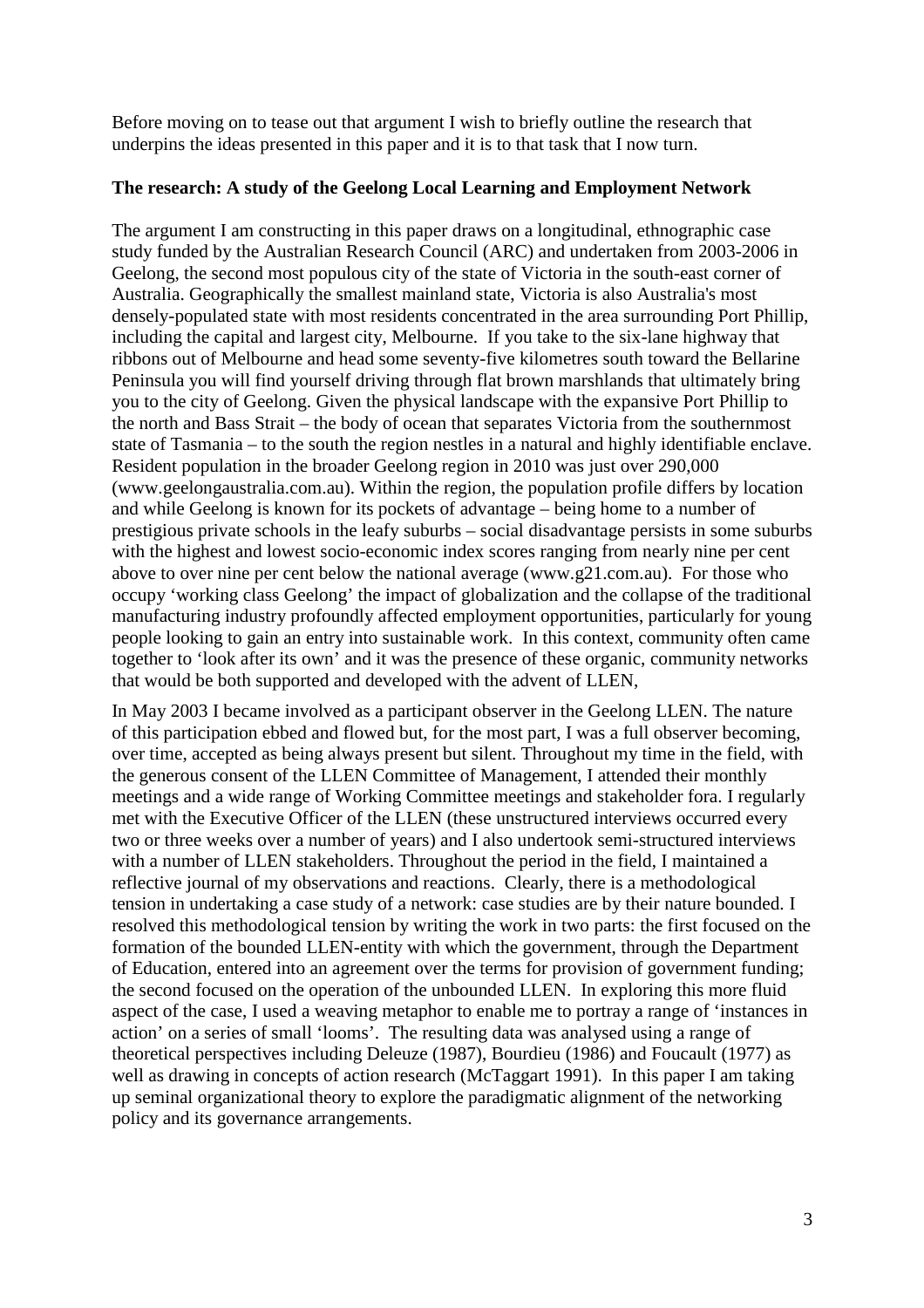Before moving on to tease out that argument I wish to briefly outline the research that underpins the ideas presented in this paper and it is to that task that I now turn.

# **The research: A study of the Geelong Local Learning and Employment Network**

The argument I am constructing in this paper draws on a longitudinal, ethnographic case study funded by the Australian Research Council (ARC) and undertaken from 2003-2006 in Geelong, the second most populous city of the state of Victoria in the south-east corner of Australia. Geographically the smallest mainland state, Victoria is also Australia's most densely-populated state with most residents concentrated in the area surrounding Port Phillip, including the capital and largest city, Melbourne. If you take to the six-lane highway that ribbons out of Melbourne and head some seventy-five kilometres south toward the Bellarine Peninsula you will find yourself driving through flat brown marshlands that ultimately bring you to the city of Geelong. Given the physical landscape with the expansive Port Phillip to the north and Bass Strait – the body of ocean that separates Victoria from the southernmost state of Tasmania – to the south the region nestles in a natural and highly identifiable enclave. Resident population in the broader Geelong region in 2010 was just over 290,000 (www.geelongaustralia.com.au). Within the region, the population profile differs by location and while Geelong is known for its pockets of advantage – being home to a number of prestigious private schools in the leafy suburbs – social disadvantage persists in some suburbs with the highest and lowest socio-economic index scores ranging from nearly nine per cent above to over nine per cent below the national average (www.g21.com.au). For those who occupy 'working class Geelong' the impact of globalization and the collapse of the traditional manufacturing industry profoundly affected employment opportunities, particularly for young people looking to gain an entry into sustainable work. In this context, community often came together to 'look after its own' and it was the presence of these organic, community networks that would be both supported and developed with the advent of LLEN,

In May 2003 I became involved as a participant observer in the Geelong LLEN. The nature of this participation ebbed and flowed but, for the most part, I was a full observer becoming, over time, accepted as being always present but silent. Throughout my time in the field, with the generous consent of the LLEN Committee of Management, I attended their monthly meetings and a wide range of Working Committee meetings and stakeholder fora. I regularly met with the Executive Officer of the LLEN (these unstructured interviews occurred every two or three weeks over a number of years) and I also undertook semi-structured interviews with a number of LLEN stakeholders. Throughout the period in the field, I maintained a reflective journal of my observations and reactions. Clearly, there is a methodological tension in undertaking a case study of a network: case studies are by their nature bounded. I resolved this methodological tension by writing the work in two parts: the first focused on the formation of the bounded LLEN-entity with which the government, through the Department of Education, entered into an agreement over the terms for provision of government funding; the second focused on the operation of the unbounded LLEN. In exploring this more fluid aspect of the case, I used a weaving metaphor to enable me to portray a range of 'instances in action' on a series of small 'looms'. The resulting data was analysed using a range of theoretical perspectives including Deleuze (1987), Bourdieu (1986) and Foucault (1977) as well as drawing in concepts of action research (McTaggart 1991). In this paper I am taking up seminal organizational theory to explore the paradigmatic alignment of the networking policy and its governance arrangements.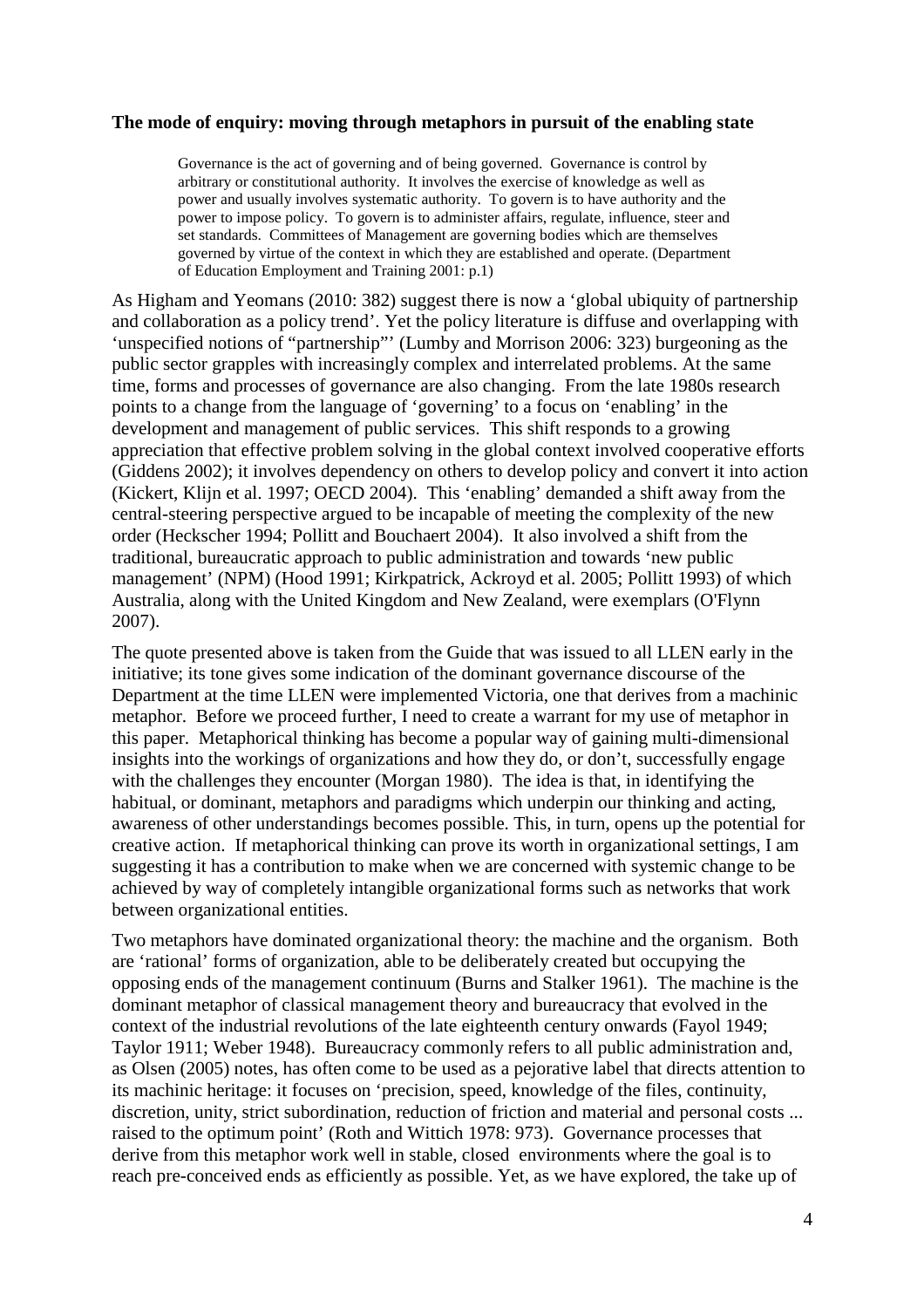#### **The mode of enquiry: moving through metaphors in pursuit of the enabling state**

Governance is the act of governing and of being governed. Governance is control by arbitrary or constitutional authority. It involves the exercise of knowledge as well as power and usually involves systematic authority. To govern is to have authority and the power to impose policy. To govern is to administer affairs, regulate, influence, steer and set standards. Committees of Management are governing bodies which are themselves governed by virtue of the context in which they are established and operate. (Department of Education Employment and Training 2001: p.1)

As Higham and Yeomans (2010: 382) suggest there is now a 'global ubiquity of partnership and collaboration as a policy trend'. Yet the policy literature is diffuse and overlapping with 'unspecified notions of "partnership"' (Lumby and Morrison 2006: 323) burgeoning as the public sector grapples with increasingly complex and interrelated problems. At the same time, forms and processes of governance are also changing. From the late 1980s research points to a change from the language of 'governing' to a focus on 'enabling' in the development and management of public services. This shift responds to a growing appreciation that effective problem solving in the global context involved cooperative efforts (Giddens 2002); it involves dependency on others to develop policy and convert it into action (Kickert, Klijn et al. 1997; OECD 2004). This 'enabling' demanded a shift away from the central-steering perspective argued to be incapable of meeting the complexity of the new order (Heckscher 1994; Pollitt and Bouchaert 2004). It also involved a shift from the traditional, bureaucratic approach to public administration and towards 'new public management' (NPM) (Hood 1991; Kirkpatrick, Ackroyd et al. 2005; Pollitt 1993) of which Australia, along with the United Kingdom and New Zealand, were exemplars (O'Flynn 2007).

The quote presented above is taken from the Guide that was issued to all LLEN early in the initiative; its tone gives some indication of the dominant governance discourse of the Department at the time LLEN were implemented Victoria, one that derives from a machinic metaphor. Before we proceed further, I need to create a warrant for my use of metaphor in this paper. Metaphorical thinking has become a popular way of gaining multi-dimensional insights into the workings of organizations and how they do, or don't, successfully engage with the challenges they encounter (Morgan 1980). The idea is that, in identifying the habitual, or dominant, metaphors and paradigms which underpin our thinking and acting, awareness of other understandings becomes possible. This, in turn, opens up the potential for creative action. If metaphorical thinking can prove its worth in organizational settings, I am suggesting it has a contribution to make when we are concerned with systemic change to be achieved by way of completely intangible organizational forms such as networks that work between organizational entities.

Two metaphors have dominated organizational theory: the machine and the organism. Both are 'rational' forms of organization, able to be deliberately created but occupying the opposing ends of the management continuum (Burns and Stalker 1961). The machine is the dominant metaphor of classical management theory and bureaucracy that evolved in the context of the industrial revolutions of the late eighteenth century onwards (Fayol 1949; Taylor 1911; Weber 1948). Bureaucracy commonly refers to all public administration and, as Olsen (2005) notes, has often come to be used as a pejorative label that directs attention to its machinic heritage: it focuses on 'precision, speed, knowledge of the files, continuity, discretion, unity, strict subordination, reduction of friction and material and personal costs ... raised to the optimum point' (Roth and Wittich 1978: 973). Governance processes that derive from this metaphor work well in stable, closed environments where the goal is to reach pre-conceived ends as efficiently as possible. Yet, as we have explored, the take up of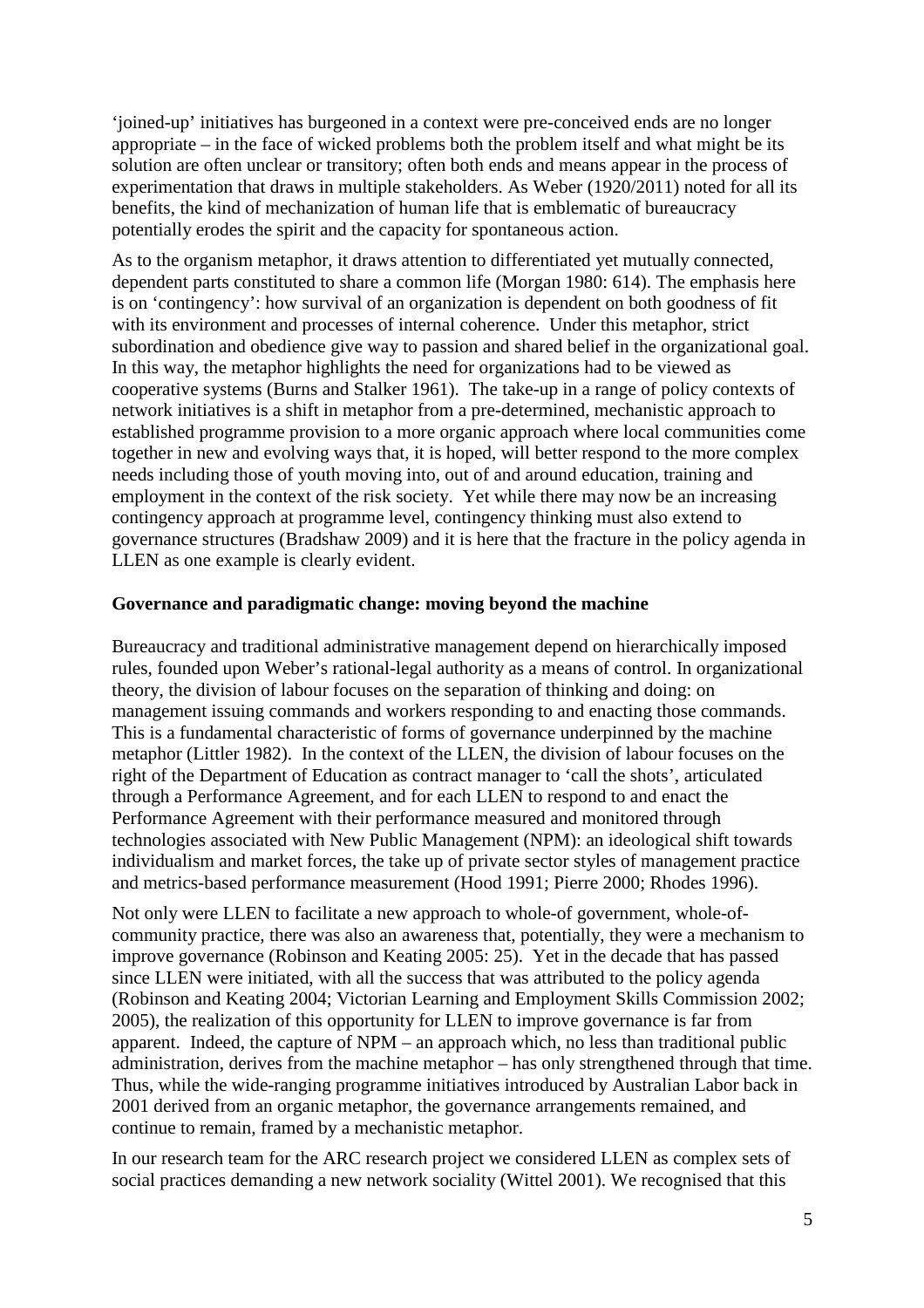'joined-up' initiatives has burgeoned in a context were pre-conceived ends are no longer appropriate – in the face of wicked problems both the problem itself and what might be its solution are often unclear or transitory; often both ends and means appear in the process of experimentation that draws in multiple stakeholders. As Weber (1920/2011) noted for all its benefits, the kind of mechanization of human life that is emblematic of bureaucracy potentially erodes the spirit and the capacity for spontaneous action.

As to the organism metaphor, it draws attention to differentiated yet mutually connected, dependent parts constituted to share a common life (Morgan 1980: 614). The emphasis here is on 'contingency': how survival of an organization is dependent on both goodness of fit with its environment and processes of internal coherence. Under this metaphor, strict subordination and obedience give way to passion and shared belief in the organizational goal. In this way, the metaphor highlights the need for organizations had to be viewed as cooperative systems (Burns and Stalker 1961). The take-up in a range of policy contexts of network initiatives is a shift in metaphor from a pre-determined, mechanistic approach to established programme provision to a more organic approach where local communities come together in new and evolving ways that, it is hoped, will better respond to the more complex needs including those of youth moving into, out of and around education, training and employment in the context of the risk society. Yet while there may now be an increasing contingency approach at programme level, contingency thinking must also extend to governance structures (Bradshaw 2009) and it is here that the fracture in the policy agenda in LLEN as one example is clearly evident.

## **Governance and paradigmatic change: moving beyond the machine**

Bureaucracy and traditional administrative management depend on hierarchically imposed rules, founded upon Weber's rational-legal authority as a means of control. In organizational theory, the division of labour focuses on the separation of thinking and doing: on management issuing commands and workers responding to and enacting those commands. This is a fundamental characteristic of forms of governance underpinned by the machine metaphor (Littler 1982). In the context of the LLEN, the division of labour focuses on the right of the Department of Education as contract manager to 'call the shots', articulated through a Performance Agreement, and for each LLEN to respond to and enact the Performance Agreement with their performance measured and monitored through technologies associated with New Public Management (NPM): an ideological shift towards individualism and market forces, the take up of private sector styles of management practice and metrics-based performance measurement (Hood 1991; Pierre 2000; Rhodes 1996).

Not only were LLEN to facilitate a new approach to whole-of government, whole-ofcommunity practice, there was also an awareness that, potentially, they were a mechanism to improve governance (Robinson and Keating 2005: 25). Yet in the decade that has passed since LLEN were initiated, with all the success that was attributed to the policy agenda (Robinson and Keating 2004; Victorian Learning and Employment Skills Commission 2002; 2005), the realization of this opportunity for LLEN to improve governance is far from apparent. Indeed, the capture of NPM – an approach which, no less than traditional public administration, derives from the machine metaphor – has only strengthened through that time. Thus, while the wide-ranging programme initiatives introduced by Australian Labor back in 2001 derived from an organic metaphor, the governance arrangements remained, and continue to remain, framed by a mechanistic metaphor.

In our research team for the ARC research project we considered LLEN as complex sets of social practices demanding a new network sociality (Wittel 2001). We recognised that this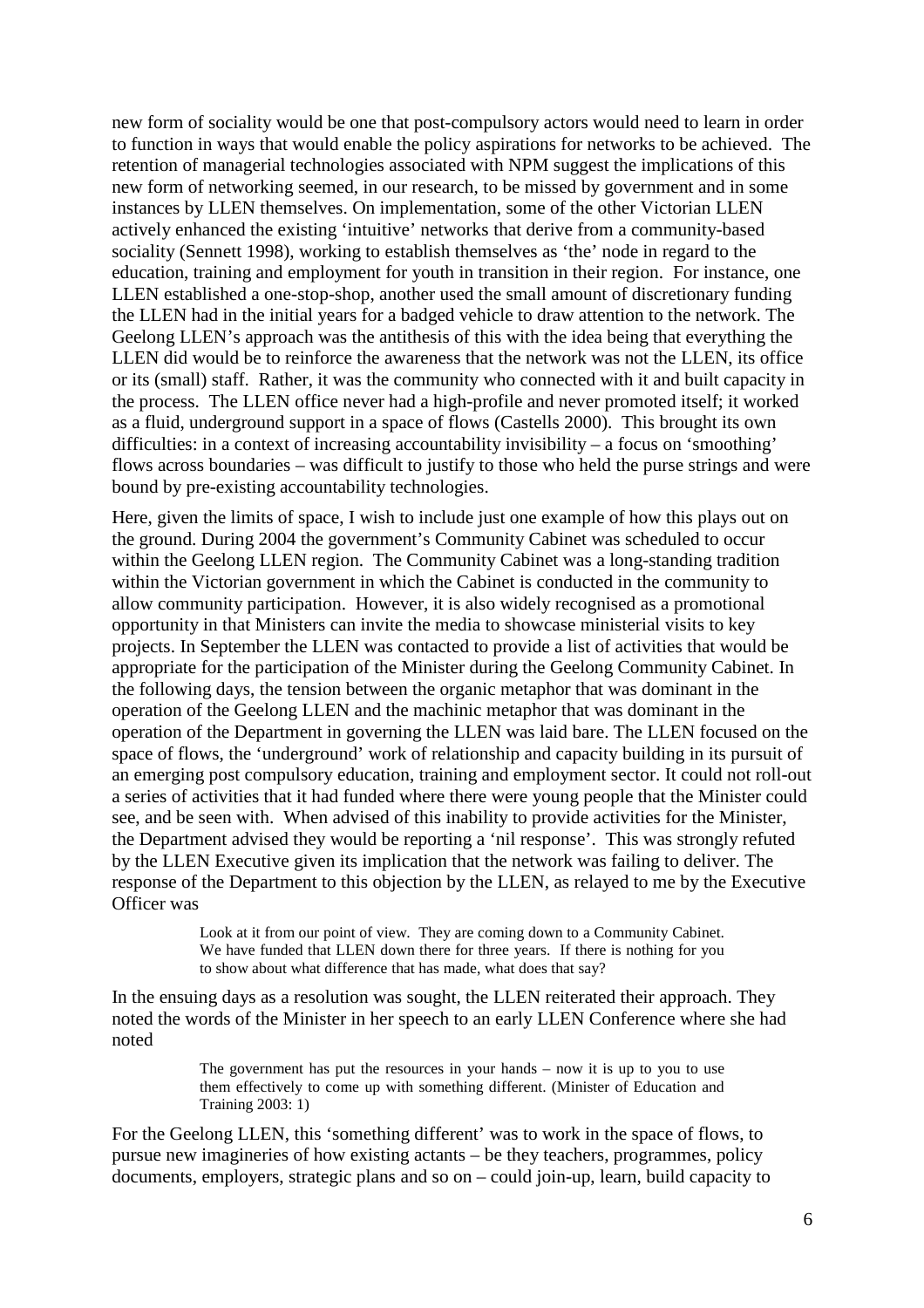new form of sociality would be one that post-compulsory actors would need to learn in order to function in ways that would enable the policy aspirations for networks to be achieved. The retention of managerial technologies associated with NPM suggest the implications of this new form of networking seemed, in our research, to be missed by government and in some instances by LLEN themselves. On implementation, some of the other Victorian LLEN actively enhanced the existing 'intuitive' networks that derive from a community-based sociality (Sennett 1998), working to establish themselves as 'the' node in regard to the education, training and employment for youth in transition in their region. For instance, one LLEN established a one-stop-shop, another used the small amount of discretionary funding the LLEN had in the initial years for a badged vehicle to draw attention to the network. The Geelong LLEN's approach was the antithesis of this with the idea being that everything the LLEN did would be to reinforce the awareness that the network was not the LLEN, its office or its (small) staff. Rather, it was the community who connected with it and built capacity in the process. The LLEN office never had a high-profile and never promoted itself; it worked as a fluid, underground support in a space of flows (Castells 2000). This brought its own difficulties: in a context of increasing accountability invisibility – a focus on 'smoothing' flows across boundaries – was difficult to justify to those who held the purse strings and were bound by pre-existing accountability technologies.

Here, given the limits of space, I wish to include just one example of how this plays out on the ground. During 2004 the government's Community Cabinet was scheduled to occur within the Geelong LLEN region. The Community Cabinet was a long-standing tradition within the Victorian government in which the Cabinet is conducted in the community to allow community participation. However, it is also widely recognised as a promotional opportunity in that Ministers can invite the media to showcase ministerial visits to key projects. In September the LLEN was contacted to provide a list of activities that would be appropriate for the participation of the Minister during the Geelong Community Cabinet. In the following days, the tension between the organic metaphor that was dominant in the operation of the Geelong LLEN and the machinic metaphor that was dominant in the operation of the Department in governing the LLEN was laid bare. The LLEN focused on the space of flows, the 'underground' work of relationship and capacity building in its pursuit of an emerging post compulsory education, training and employment sector. It could not roll-out a series of activities that it had funded where there were young people that the Minister could see, and be seen with. When advised of this inability to provide activities for the Minister, the Department advised they would be reporting a 'nil response'. This was strongly refuted by the LLEN Executive given its implication that the network was failing to deliver. The response of the Department to this objection by the LLEN, as relayed to me by the Executive Officer was

> Look at it from our point of view. They are coming down to a Community Cabinet. We have funded that LLEN down there for three years. If there is nothing for you to show about what difference that has made, what does that say?

In the ensuing days as a resolution was sought, the LLEN reiterated their approach. They noted the words of the Minister in her speech to an early LLEN Conference where she had noted

> The government has put the resources in your hands – now it is up to you to use them effectively to come up with something different. (Minister of Education and Training 2003: 1)

For the Geelong LLEN, this 'something different' was to work in the space of flows, to pursue new imagineries of how existing actants – be they teachers, programmes, policy documents, employers, strategic plans and so on – could join-up, learn, build capacity to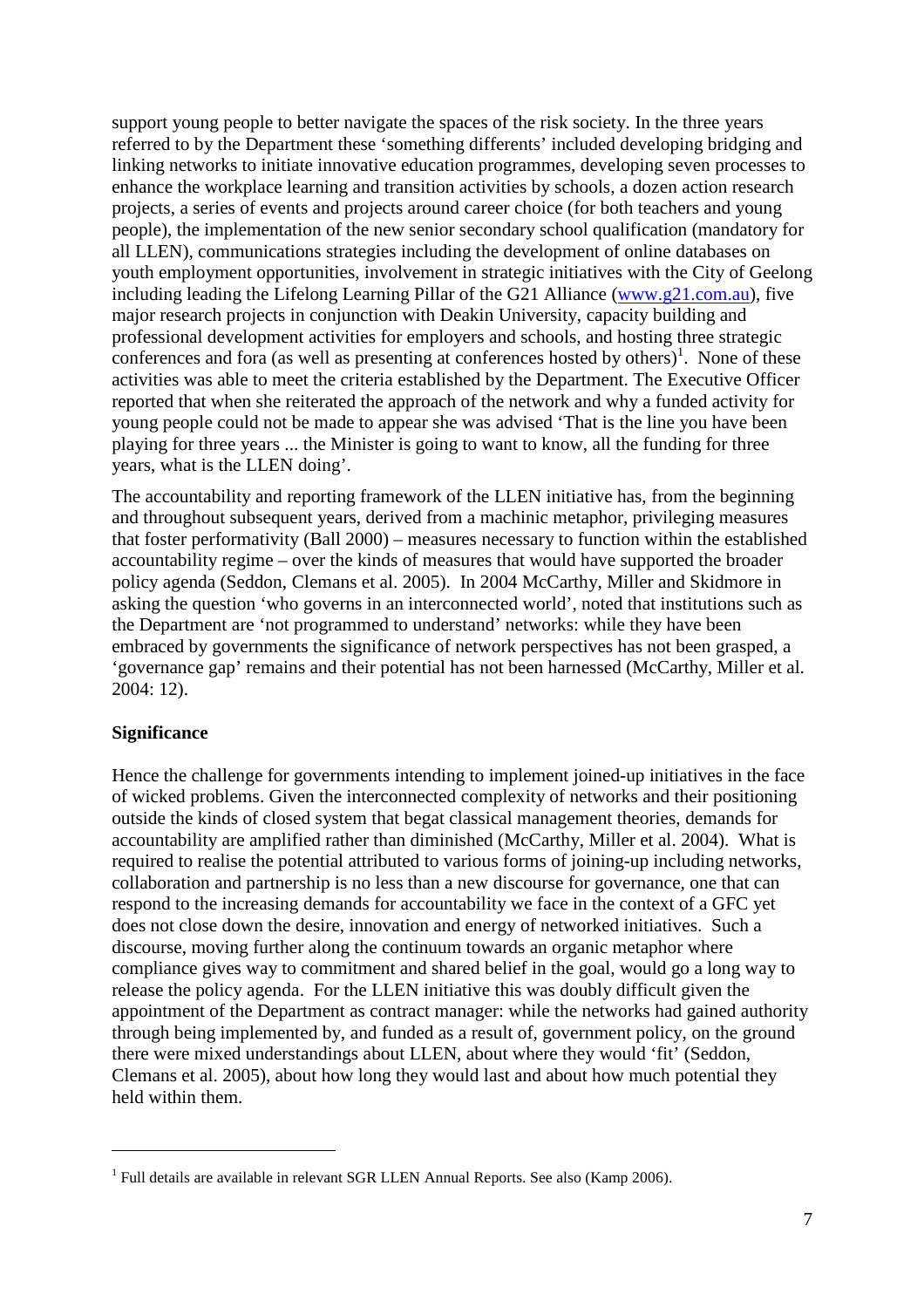support young people to better navigate the spaces of the risk society. In the three years referred to by the Department these 'something differents' included developing bridging and linking networks to initiate innovative education programmes, developing seven processes to enhance the workplace learning and transition activities by schools, a dozen action research projects, a series of events and projects around career choice (for both teachers and young people), the implementation of the new senior secondary school qualification (mandatory for all LLEN), communications strategies including the development of online databases on youth employment opportunities, involvement in strategic initiatives with the City of Geelong including leading the Lifelong Learning Pillar of the G21 Alliance (www.g21.com.au), five major research projects in conjunction with Deakin University, capacity building and professional development activities for employers and schools, and hosting three strategic conferences and fora (as well as presenting at conferences hosted by others)<sup>1</sup>. None of these activities was able to meet the criteria established by the Department. The Executive Officer reported that when she reiterated the approach of the network and why a funded activity for young people could not be made to appear she was advised 'That is the line you have been playing for three years ... the Minister is going to want to know, all the funding for three years, what is the LLEN doing'.

The accountability and reporting framework of the LLEN initiative has, from the beginning and throughout subsequent years, derived from a machinic metaphor, privileging measures that foster performativity (Ball 2000) – measures necessary to function within the established accountability regime – over the kinds of measures that would have supported the broader policy agenda (Seddon, Clemans et al. 2005). In 2004 McCarthy, Miller and Skidmore in asking the question 'who governs in an interconnected world', noted that institutions such as the Department are 'not programmed to understand' networks: while they have been embraced by governments the significance of network perspectives has not been grasped, a 'governance gap' remains and their potential has not been harnessed (McCarthy, Miller et al. 2004: 12).

## **Significance**

 $\overline{a}$ 

Hence the challenge for governments intending to implement joined-up initiatives in the face of wicked problems. Given the interconnected complexity of networks and their positioning outside the kinds of closed system that begat classical management theories, demands for accountability are amplified rather than diminished (McCarthy, Miller et al. 2004). What is required to realise the potential attributed to various forms of joining-up including networks, collaboration and partnership is no less than a new discourse for governance, one that can respond to the increasing demands for accountability we face in the context of a GFC yet does not close down the desire, innovation and energy of networked initiatives. Such a discourse, moving further along the continuum towards an organic metaphor where compliance gives way to commitment and shared belief in the goal, would go a long way to release the policy agenda. For the LLEN initiative this was doubly difficult given the appointment of the Department as contract manager: while the networks had gained authority through being implemented by, and funded as a result of, government policy, on the ground there were mixed understandings about LLEN, about where they would 'fit' (Seddon, Clemans et al. 2005), about how long they would last and about how much potential they held within them.

<sup>&</sup>lt;sup>1</sup> Full details are available in relevant SGR LLEN Annual Reports. See also (Kamp 2006).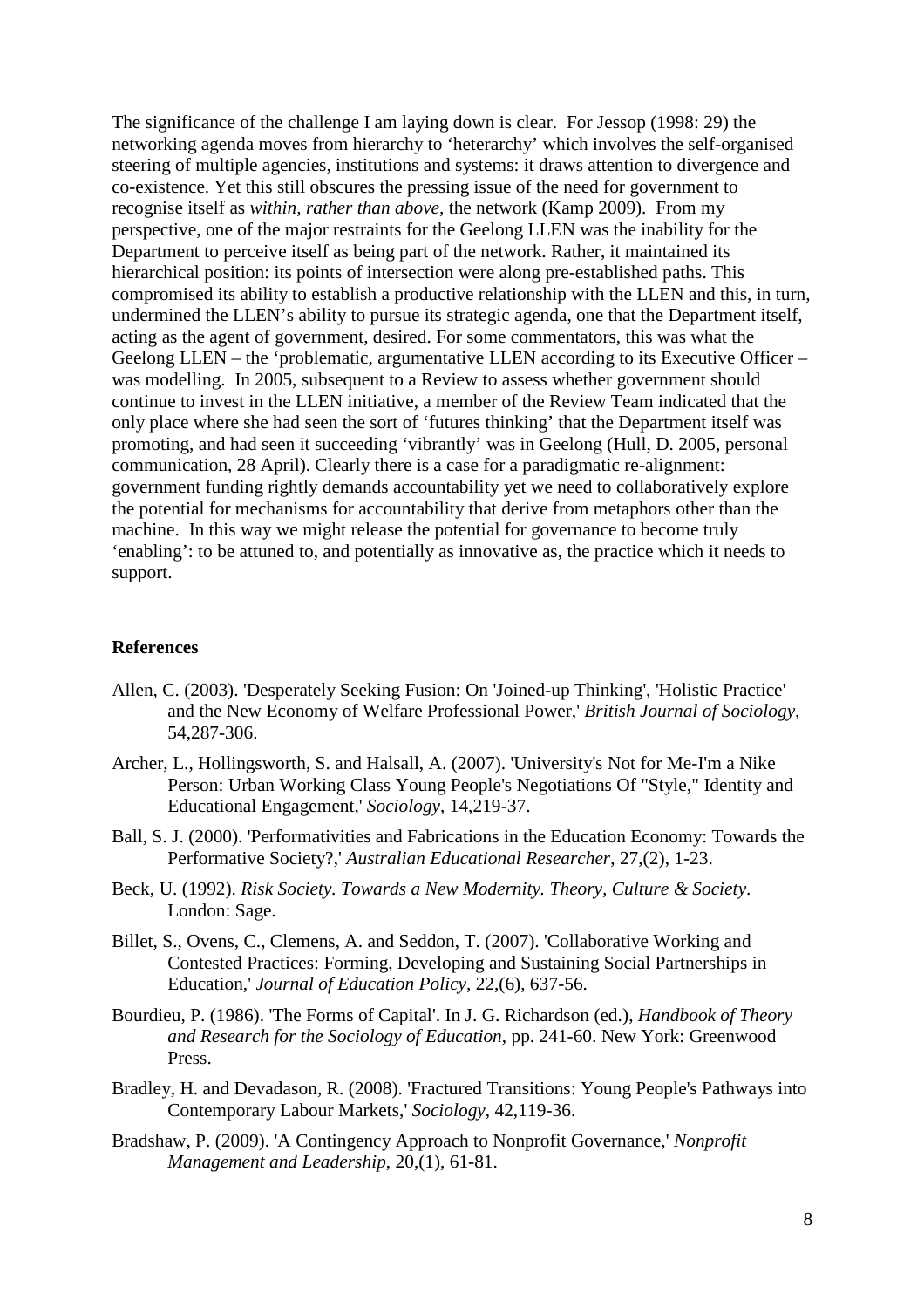The significance of the challenge I am laying down is clear. For Jessop (1998: 29) the networking agenda moves from hierarchy to 'heterarchy' which involves the self-organised steering of multiple agencies, institutions and systems: it draws attention to divergence and co-existence. Yet this still obscures the pressing issue of the need for government to recognise itself as *within, rather than above*, the network (Kamp 2009). From my perspective, one of the major restraints for the Geelong LLEN was the inability for the Department to perceive itself as being part of the network. Rather, it maintained its hierarchical position: its points of intersection were along pre-established paths. This compromised its ability to establish a productive relationship with the LLEN and this, in turn, undermined the LLEN's ability to pursue its strategic agenda, one that the Department itself, acting as the agent of government, desired. For some commentators, this was what the Geelong LLEN – the 'problematic, argumentative LLEN according to its Executive Officer – was modelling. In 2005, subsequent to a Review to assess whether government should continue to invest in the LLEN initiative, a member of the Review Team indicated that the only place where she had seen the sort of 'futures thinking' that the Department itself was promoting, and had seen it succeeding 'vibrantly' was in Geelong (Hull, D. 2005, personal communication, 28 April). Clearly there is a case for a paradigmatic re-alignment: government funding rightly demands accountability yet we need to collaboratively explore the potential for mechanisms for accountability that derive from metaphors other than the machine. In this way we might release the potential for governance to become truly 'enabling': to be attuned to, and potentially as innovative as, the practice which it needs to support.

#### **References**

- Allen, C. (2003). 'Desperately Seeking Fusion: On 'Joined-up Thinking', 'Holistic Practice' and the New Economy of Welfare Professional Power,' *British Journal of Sociology*, 54,287-306.
- Archer, L., Hollingsworth, S. and Halsall, A. (2007). 'University's Not for Me-I'm a Nike Person: Urban Working Class Young People's Negotiations Of "Style," Identity and Educational Engagement,' *Sociology*, 14,219-37.
- Ball, S. J. (2000). 'Performativities and Fabrications in the Education Economy: Towards the Performative Society?,' *Australian Educational Researcher*, 27,(2), 1-23.
- Beck, U. (1992). *Risk Society. Towards a New Modernity. Theory, Culture & Society*. London: Sage.
- Billet, S., Ovens, C., Clemens, A. and Seddon, T. (2007). 'Collaborative Working and Contested Practices: Forming, Developing and Sustaining Social Partnerships in Education,' *Journal of Education Policy*, 22,(6), 637-56.
- Bourdieu, P. (1986). 'The Forms of Capital'. In J. G. Richardson (ed.), *Handbook of Theory and Research for the Sociology of Education*, pp. 241-60. New York: Greenwood Press.
- Bradley, H. and Devadason, R. (2008). 'Fractured Transitions: Young People's Pathways into Contemporary Labour Markets,' *Sociology*, 42,119-36.
- Bradshaw, P. (2009). 'A Contingency Approach to Nonprofit Governance,' *Nonprofit Management and Leadership*, 20,(1), 61-81.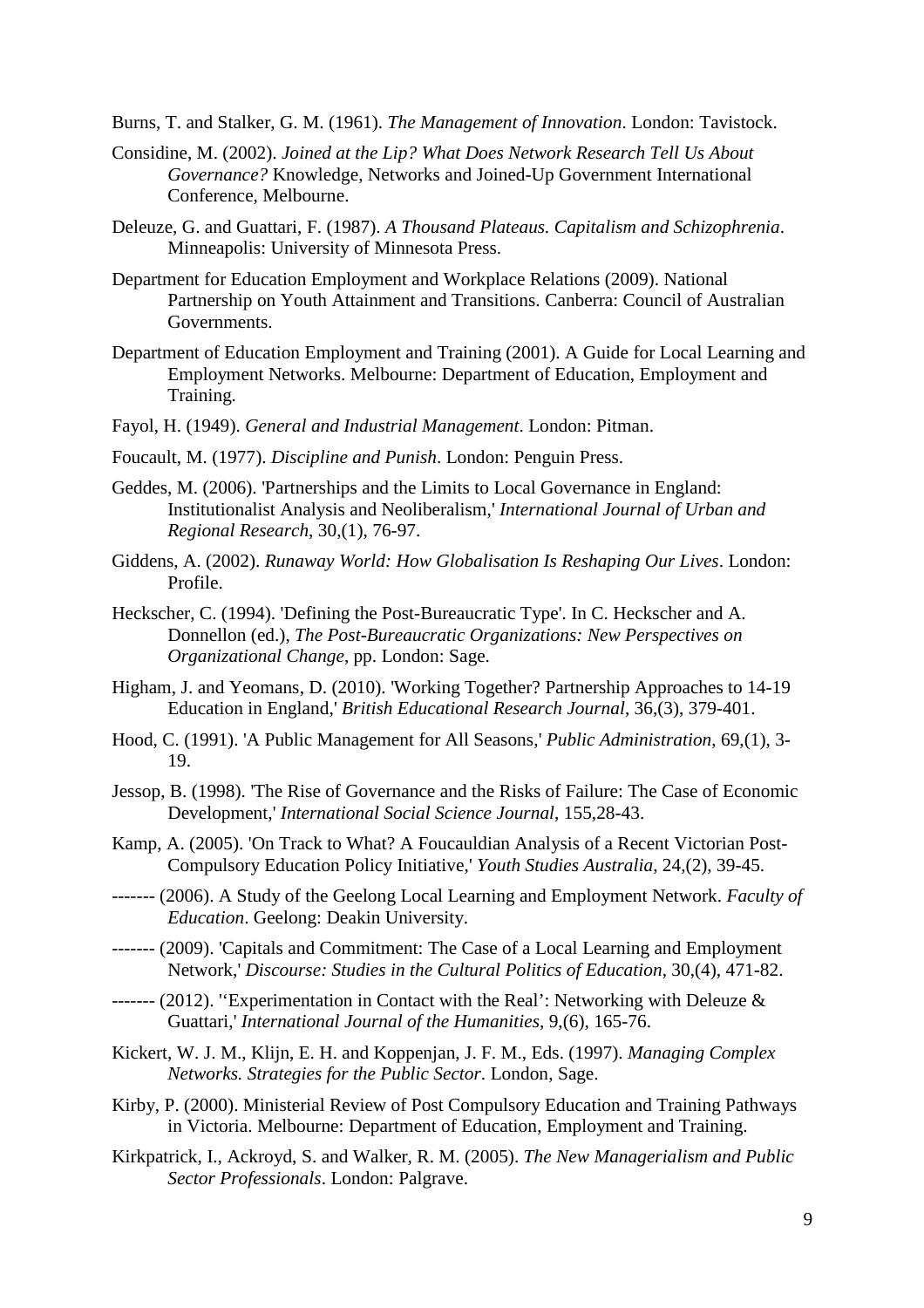Burns, T. and Stalker, G. M. (1961). *The Management of Innovation*. London: Tavistock.

- Considine, M. (2002). *Joined at the Lip? What Does Network Research Tell Us About Governance?* Knowledge, Networks and Joined-Up Government International Conference, Melbourne.
- Deleuze, G. and Guattari, F. (1987). *A Thousand Plateaus. Capitalism and Schizophrenia*. Minneapolis: University of Minnesota Press.
- Department for Education Employment and Workplace Relations (2009). National Partnership on Youth Attainment and Transitions. Canberra: Council of Australian Governments.
- Department of Education Employment and Training (2001). A Guide for Local Learning and Employment Networks. Melbourne: Department of Education, Employment and Training.
- Fayol, H. (1949). *General and Industrial Management*. London: Pitman.
- Foucault, M. (1977). *Discipline and Punish*. London: Penguin Press.
- Geddes, M. (2006). 'Partnerships and the Limits to Local Governance in England: Institutionalist Analysis and Neoliberalism,' *International Journal of Urban and Regional Research*, 30,(1), 76-97.
- Giddens, A. (2002). *Runaway World: How Globalisation Is Reshaping Our Lives*. London: Profile.
- Heckscher, C. (1994). 'Defining the Post-Bureaucratic Type'. In C. Heckscher and A. Donnellon (ed.), *The Post-Bureaucratic Organizations: New Perspectives on Organizational Change*, pp. London: Sage.
- Higham, J. and Yeomans, D. (2010). 'Working Together? Partnership Approaches to 14-19 Education in England,' *British Educational Research Journal*, 36,(3), 379-401.
- Hood, C. (1991). 'A Public Management for All Seasons,' *Public Administration*, 69,(1), 3- 19.
- Jessop, B. (1998). 'The Rise of Governance and the Risks of Failure: The Case of Economic Development,' *International Social Science Journal*, 155,28-43.
- Kamp, A. (2005). 'On Track to What? A Foucauldian Analysis of a Recent Victorian Post-Compulsory Education Policy Initiative,' *Youth Studies Australia*, 24,(2), 39-45.
- ------- (2006). A Study of the Geelong Local Learning and Employment Network. *Faculty of Education*. Geelong: Deakin University.
- ------- (2009). 'Capitals and Commitment: The Case of a Local Learning and Employment Network,' *Discourse: Studies in the Cultural Politics of Education*, 30,(4), 471-82.
- ------- (2012). ''Experimentation in Contact with the Real': Networking with Deleuze & Guattari,' *International Journal of the Humanities*, 9,(6), 165-76.
- Kickert, W. J. M., Klijn, E. H. and Koppenjan, J. F. M., Eds. (1997). *Managing Complex Networks. Strategies for the Public Sector*. London, Sage.
- Kirby, P. (2000). Ministerial Review of Post Compulsory Education and Training Pathways in Victoria. Melbourne: Department of Education, Employment and Training.
- Kirkpatrick, I., Ackroyd, S. and Walker, R. M. (2005). *The New Managerialism and Public Sector Professionals*. London: Palgrave.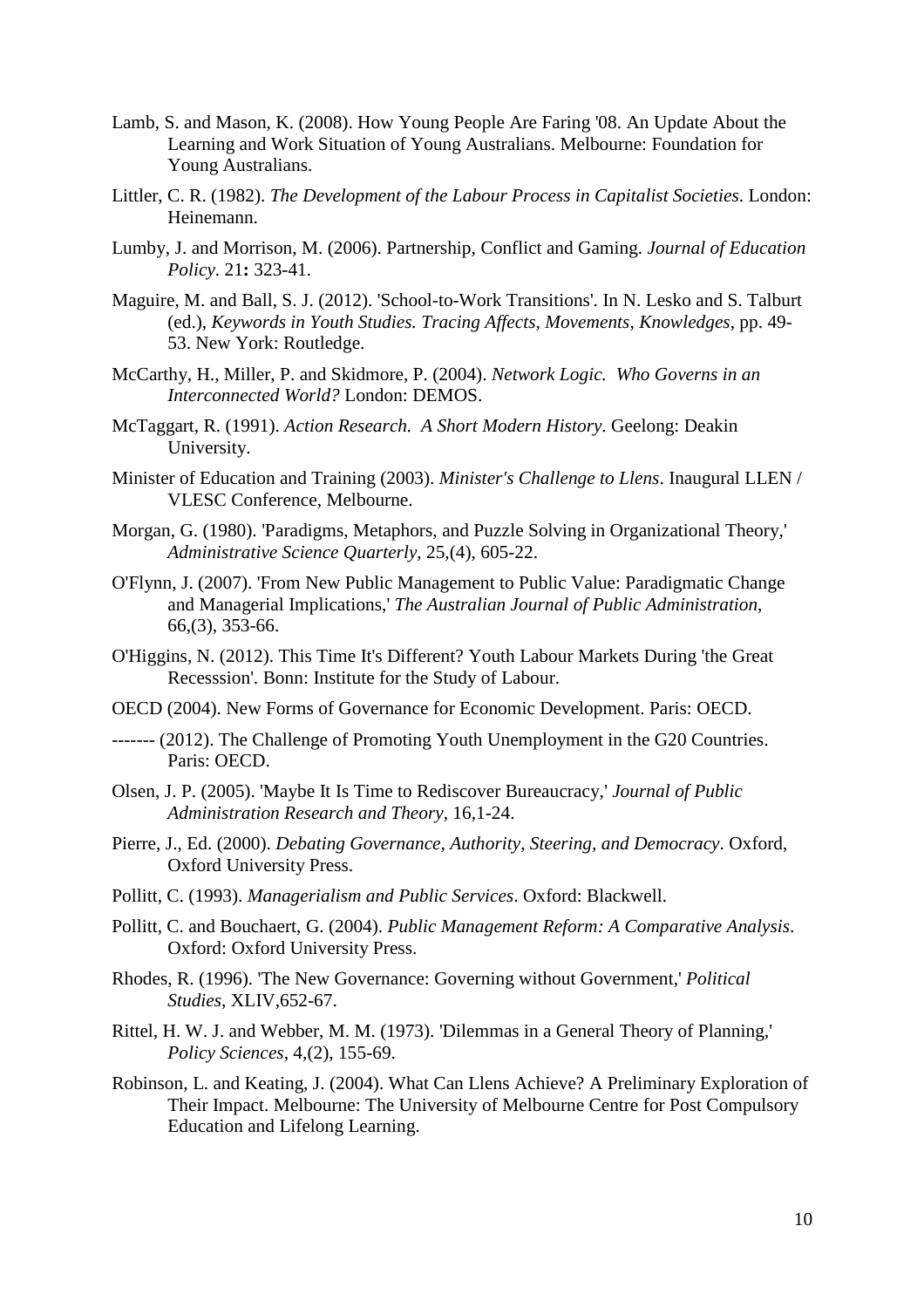- Lamb, S. and Mason, K. (2008). How Young People Are Faring '08. An Update About the Learning and Work Situation of Young Australians. Melbourne: Foundation for Young Australians.
- Littler, C. R. (1982). *The Development of the Labour Process in Capitalist Societies*. London: Heinemann.
- Lumby, J. and Morrison, M. (2006). Partnership, Conflict and Gaming. *Journal of Education Policy*. 21**:** 323-41.
- Maguire, M. and Ball, S. J. (2012). 'School-to-Work Transitions'. In N. Lesko and S. Talburt (ed.), *Keywords in Youth Studies. Tracing Affects, Movements, Knowledges*, pp. 49- 53. New York: Routledge.
- McCarthy, H., Miller, P. and Skidmore, P. (2004). *Network Logic. Who Governs in an Interconnected World?* London: DEMOS.
- McTaggart, R. (1991). *Action Research. A Short Modern History*. Geelong: Deakin University.
- Minister of Education and Training (2003). *Minister's Challenge to Llens*. Inaugural LLEN / VLESC Conference, Melbourne.
- Morgan, G. (1980). 'Paradigms, Metaphors, and Puzzle Solving in Organizational Theory,' *Administrative Science Quarterly*, 25,(4), 605-22.
- O'Flynn, J. (2007). 'From New Public Management to Public Value: Paradigmatic Change and Managerial Implications,' *The Australian Journal of Public Administration*, 66,(3), 353-66.
- O'Higgins, N. (2012). This Time It's Different? Youth Labour Markets During 'the Great Recesssion'. Bonn: Institute for the Study of Labour.
- OECD (2004). New Forms of Governance for Economic Development. Paris: OECD.
- ------- (2012). The Challenge of Promoting Youth Unemployment in the G20 Countries. Paris: OECD.
- Olsen, J. P. (2005). 'Maybe It Is Time to Rediscover Bureaucracy,' *Journal of Public Administration Research and Theory*, 16,1-24.
- Pierre, J., Ed. (2000). *Debating Governance, Authority, Steering, and Democracy*. Oxford, Oxford University Press.
- Pollitt, C. (1993). *Managerialism and Public Services*. Oxford: Blackwell.
- Pollitt, C. and Bouchaert, G. (2004). *Public Management Reform: A Comparative Analysis*. Oxford: Oxford University Press.
- Rhodes, R. (1996). 'The New Governance: Governing without Government,' *Political Studies*, XLIV,652-67.
- Rittel, H. W. J. and Webber, M. M. (1973). 'Dilemmas in a General Theory of Planning,' *Policy Sciences*, 4,(2), 155-69.
- Robinson, L. and Keating, J. (2004). What Can Llens Achieve? A Preliminary Exploration of Their Impact. Melbourne: The University of Melbourne Centre for Post Compulsory Education and Lifelong Learning.